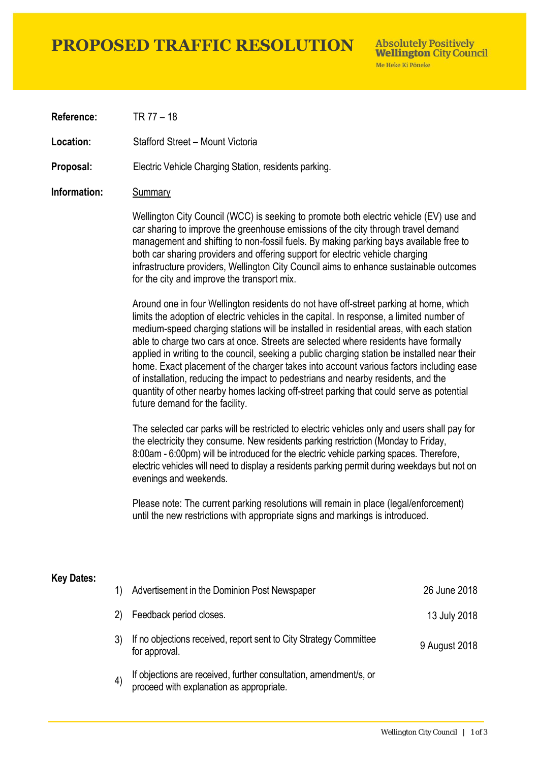# **PROPOSED TRAFFIC RESOLUTION**

**Absolutely Positively Wellington City Council** Me Heke Ki Pôneke

**Reference:** TR 77 – 18

**Location:** Stafford Street – Mount Victoria

**Proposal:** Electric Vehicle Charging Station, residents parking.

### **Information:** Summary

Wellington City Council (WCC) is seeking to promote both electric vehicle (EV) use and car sharing to improve the greenhouse emissions of the city through travel demand management and shifting to non-fossil fuels. By making parking bays available free to both car sharing providers and offering support for electric vehicle charging infrastructure providers, Wellington City Council aims to enhance sustainable outcomes for the city and improve the transport mix.

Around one in four Wellington residents do not have off-street parking at home, which limits the adoption of electric vehicles in the capital. In response, a limited number of medium-speed charging stations will be installed in residential areas, with each station able to charge two cars at once. Streets are selected where residents have formally applied in writing to the council, seeking a public charging station be installed near their home. Exact placement of the charger takes into account various factors including ease of installation, reducing the impact to pedestrians and nearby residents, and the quantity of other nearby homes lacking off-street parking that could serve as potential future demand for the facility.

The selected car parks will be restricted to electric vehicles only and users shall pay for the electricity they consume. New residents parking restriction (Monday to Friday, 8:00am - 6:00pm) will be introduced for the electric vehicle parking spaces. Therefore, electric vehicles will need to display a residents parking permit during weekdays but not on evenings and weekends.

Please note: The current parking resolutions will remain in place (legal/enforcement) until the new restrictions with appropriate signs and markings is introduced.

#### **Key Dates:**

| 1)      | Advertisement in the Dominion Post Newspaper                                                                  | 26 June 2018  |
|---------|---------------------------------------------------------------------------------------------------------------|---------------|
| 2)      | Feedback period closes.                                                                                       | 13 July 2018  |
|         | If no objections received, report sent to City Strategy Committee<br>for approval.                            | 9 August 2018 |
| $\vert$ | If objections are received, further consultation, amendment/s, or<br>proceed with explanation as appropriate. |               |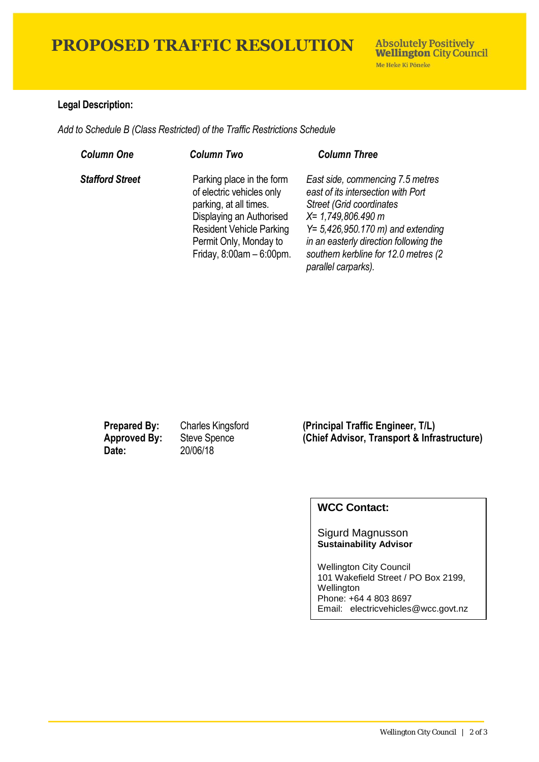# **PROPOSED TRAFFIC RESOLUTION**

## **Legal Description:**

*Add to Schedule B (Class Restricted) of the Traffic Restrictions Schedule* 

| <b>Column One</b>      | <b>Column Two</b>                                                                                                                                                                                        | <b>Column Three</b>                                                                                                                                                                                                                                                                          |
|------------------------|----------------------------------------------------------------------------------------------------------------------------------------------------------------------------------------------------------|----------------------------------------------------------------------------------------------------------------------------------------------------------------------------------------------------------------------------------------------------------------------------------------------|
| <b>Stafford Street</b> | Parking place in the form<br>of electric vehicles only<br>parking, at all times.<br>Displaying an Authorised<br><b>Resident Vehicle Parking</b><br>Permit Only, Monday to<br>Friday, $8:00am - 6:00pm$ . | East side, commencing 7.5 metres<br>east of its intersection with Port<br><b>Street (Grid coordinates)</b><br>$X = 1,749,806.490 m$<br>$Y = 5,426,950.170 \text{ m}$ and extending<br>in an easterly direction following the<br>southern kerbline for 12.0 metres (2)<br>parallel carparks). |

**Date:** 20/06/18

**Prepared By:** Charles Kingsford **(Principal Traffic Engineer, T/L) Approved By:** Steve Spence **(Chief Advisor, Transport & Infrastructure)**

## **WCC Contact:**

#### Sigurd Magnusson **Sustainability Advisor**

Wellington City Council 101 Wakefield Street / PO Box 2199, Wellington Phone: +64 4 803 8697 Email: electricvehicles@wcc.govt.nz